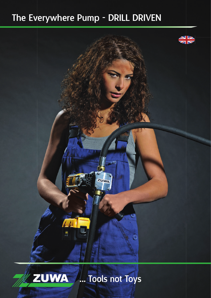# The Everywhere Pump - DRILL DRIVEN





... Tools not Toys